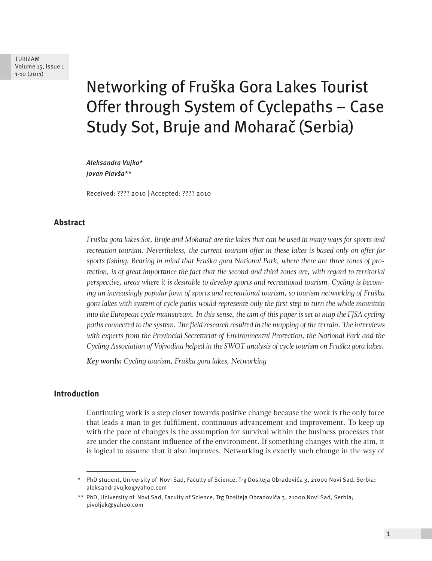TURIZAM Volume 15, Issue 1 1-10 (2011)

# Networking of Fruška Gora Lakes Tourist Offer through System of Cyclepaths – Case Study Sot, Bruje and Moharač (Serbia)

*Aleksandra Vujko\* Jovan Plavša\*\**

Received: ???? 2010 | Accepted: ???? 2010

### **Abstract**

*Fruška gora lakes Sot, Bruje and Moharač are the lakes that can be used in many ways for sports and recreation tourism. Nevertheless, the current tourism offer in these lakes is based only on offer for sports fishing. Bearing in mind that Fruška gora National Park, where there are three zones of protection, is of great importance the fact that the second and third zones are, with regard to territorial perspective, areas where it is desirable to develop sports and recreational tourism. Cycling is becoming an increasingly popular form of sports and recreational tourism, so tourism networking of Fruška gora lakes with system of cycle paths would represente only the first step to turn the whole mountain into the European cycle mainstream. In this sense, the aim of this paper is set to map the FJSA cycling paths connected to the system. The field research resulted in the mapping of the terrain. The interviews with experts from the Provincial Secretariat of Environmental Protection, the National Park and the Cycling Association of Vojvodina helped in the SWOT analysis of cycle tourism on Fruška gora lakes.* 

*Key words: Cycling tourism, Fruška gora lakes, Networking*

### **Introduction**

Continuing work is a step closer towards positive change because the work is the only force that leads a man to get fulfilment, continuous advancement and improvement. To keep up with the pace of changes is the assumption for survival within the business processes that are under the constant influence of the environment. If something changes with the aim, it is logical to assume that it also improves. Networking is exactly such change in the way of

<sup>\*</sup> PhD student, University of Novi Sad, Faculty of Science, Trg Dositeja Obradovića 3, 21000 Novi Sad, Serbia; aleksandravujko@yahoo.com

<sup>\*\*</sup> PhD, University of Novi Sad, Faculty of Science, Trg Dositeja Obradovića 3, 21000 Novi Sad, Serbia; pivoljak@yahoo.com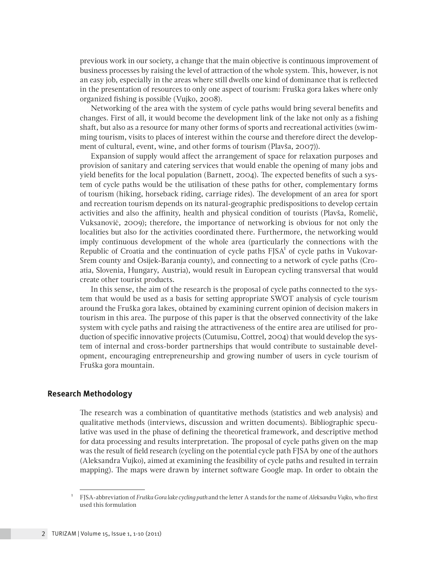previous work in our society, a change that the main objective is continuous improvement of business processes by raising the level of attraction of the whole system. This, however, is not an easy job, especially in the areas where still dwells one kind of dominance that is reflected in the presentation of resources to only one aspect of tourism: Fruška gora lakes where only organized fishing is possible (Vujko, 2008).

Networking of the area with the system of cycle paths would bring several benefits and changes. First of all, it would become the development link of the lake not only as a fishing shaft, but also as a resource for many other forms of sports and recreational activities (swimming tourism, visits to places of interest within the course and therefore direct the development of cultural, event, wine, and other forms of tourism (Plavša, 2007)).

Expansion of supply would affect the arrangement of space for relaxation purposes and provision of sanitary and catering services that would enable the opening of many jobs and yield benefits for the local population (Barnett, 2004). The expected benefits of such a system of cycle paths would be the utilisation of these paths for other, complementary forms of tourism (hiking, horseback riding, carriage rides). The development of an area for sport and recreation tourism depends on its natural-geographic predispositions to develop certain activities and also the affinity, health and physical condition of tourists (Plavša, Romelić, Vuksanović, 2009); therefore, the importance of networking is obvious for not only the localities but also for the activities coordinated there. Furthermore, the networking would imply continuous development of the whole area (particularly the connections with the Republic of Croatia and the continuation of cycle paths  $F<sub>1</sub>$ SA<sup>1</sup> of cycle paths in Vukovar-Srem county and Osijek-Baranja county), and connecting to a network of cycle paths (Croatia, Slovenia, Hungary, Austria), would result in European cycling transversal that would create other tourist products.

In this sense, the aim of the research is the proposal of cycle paths connected to the system that would be used as a basis for setting appropriate SWOT analysis of cycle tourism around the Fruška gora lakes, obtained by examining current opinion of decision makers in tourism in this area. The purpose of this paper is that the observed connectivity of the lake system with cycle paths and raising the attractiveness of the entire area are utilised for production of specific innovative projects (Cutumisu, Cottrel, 2004) that would develop the system of internal and cross-border partnerships that would contribute to sustainable development, encouraging entrepreneurship and growing number of users in cycle tourism of Fruška gora mountain.

#### **Research Methodology**

The research was a combination of quantitative methods (statistics and web analysis) and qualitative methods (interviews, discussion and written documents). Bibliographic speculative was used in the phase of defining the theoretical framework, and descriptive method for data processing and results interpretation. The proposal of cycle paths given on the map was the result of field research (cycling on the potential cycle path FJSA by one of the authors (Aleksandra Vujko), aimed at examining the feasibility of cycle paths and resulted in terrain mapping). The maps were drawn by internet software Google map. In order to obtain the

<sup>1</sup> FJSA-abbreviation of *Fruška Gora lake cycling path* and the letter A stands for the name of *Aleksandra Vujko*, who first used this formulation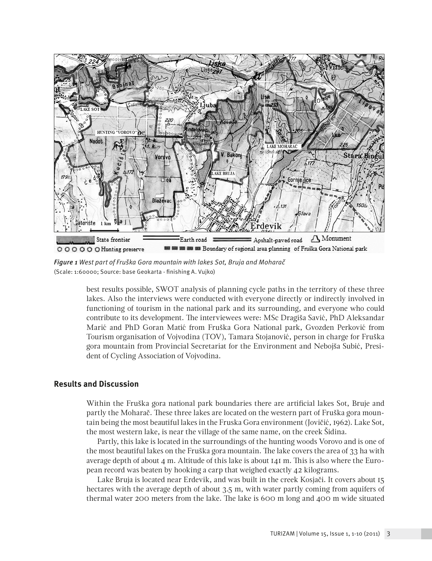

*Figure 1 West part of Fruška Gora mountain with lakes Sot, Bruja and Moharač*  (Scale: 1:60000; Source: base Geokarta - finishing A. Vujko)

best results possible, SWOT analysis of planning cycle paths in the territory of these three lakes. Also the interviews were conducted with everyone directly or indirectly involved in functioning of tourism in the national park and its surrounding, and everyone who could contribute to its development. The interviewees were: MSc Dragiša Savić, PhD Aleksandar Marić and PhD Goran Matić from Fruška Gora National park, Gvozden Perković from Tourism organisation of Vojvodina (TOV), Tamara Stojanović, person in charge for Fruška gora mountain from Provincial Secretariat for the Environment and Nebojša Subić, President of Cycling Association of Vojvodina.

## **Results and Discussion**

Within the Fruška gora national park boundaries there are artificial lakes Sot, Bruje and partly the Moharač. These three lakes are located on the western part of Fruška gora mountain being the most beautiful lakes in the Fruska Gora environment (Jovičić, 1962). Lake Sot, the most western lake, is near the village of the same name, on the creek Šidina.

Partly, this lake is located in the surroundings of the hunting woods Vorovo and is one of the most beautiful lakes on the Fruška gora mountain. The lake covers the area of 33 ha with average depth of about  $4$  m. Altitude of this lake is about  $14I$  m. This is also where the European record was beaten by hooking a carp that weighed exactly 42 kilograms.

Lake Bruja is located near Erdevik, and was built in the creek Kosjači. It covers about 15 hectares with the average depth of about 3.5 m, with water partly coming from aquifers of thermal water 200 meters from the lake. The lake is 600 m long and 400 m wide situated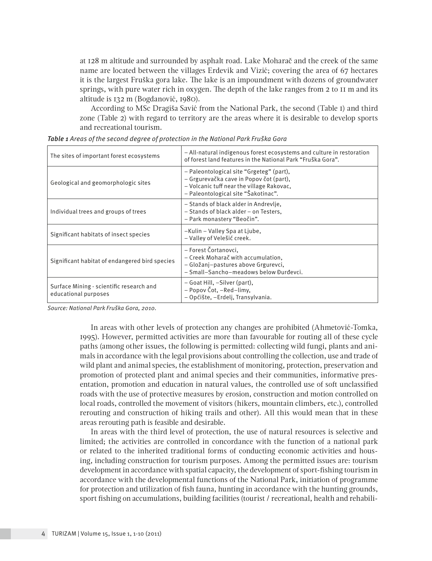at 128 m altitude and surrounded by asphalt road. Lake Moharač and the creek of the same name are located between the villages Erdevik and Vizić; covering the area of 67 hectares it is the largest Fruška gora lake. The lake is an impoundment with dozens of groundwater springs, with pure water rich in oxygen. The depth of the lake ranges from 2 to 11 m and its altitude is 132 m (Bogdanović, 1980).

According to MSc Dragiša Savić from the National Park, the second (Table 1) and third zone (Table 2) with regard to territory are the areas where it is desirable to develop sports and recreational tourism.

| The sites of important forest ecosystems                         | - All-natural indigenous forest ecosystems and culture in restoration<br>of forest land features in the National Park "Fruška Gora".                                    |  |
|------------------------------------------------------------------|-------------------------------------------------------------------------------------------------------------------------------------------------------------------------|--|
| Geological and geomorphologic sites                              | - Paleontological site "Grgeteg" (part),<br>– Grgurevačka cave in Popov čot (part),<br>- Volcanic tuff near the village Rakovac,<br>- Paleontological site "Šakotinac". |  |
| Individual trees and groups of trees                             | – Stands of black alder in Andrevlje,<br>- Stands of black alder - on Testers,<br>– Park monastery "Beočin".                                                            |  |
| Significant habitats of insect species                           | -Kulin - Valley Spa at Ljube,<br>- Valley of Velešić creek.                                                                                                             |  |
| Significant habitat of endangered bird species                   | – Forest Čortanovci.<br>- Creek Moharač with accumulation,<br>- Gložanj-pastures above Grgurevci,<br>- Small-Sancho-meadows below Đurđevci.                             |  |
| Surface Mining - scientific research and<br>educational purposes | – Goat Hill, –Silver (part),<br>– Popov Čot, –Red–limy,<br>- Općište, -Erdelj, Transylvania.                                                                            |  |

| Table 1 Areas of the second degree of protection in the National Park Fruška Gora |  |  |
|-----------------------------------------------------------------------------------|--|--|
|-----------------------------------------------------------------------------------|--|--|

*Source: National Park Fruška Gora, 2010.*

In areas with other levels of protection any changes are prohibited (Ahmetović-Tomka, 1995). However, permitted activities are more than favourable for routing all of these cycle paths (among other issues, the following is permitted: collecting wild fungi, plants and animals in accordance with the legal provisions about controlling the collection, use and trade of wild plant and animal species, the establishment of monitoring, protection, preservation and promotion of protected plant and animal species and their communities, informative presentation, promotion and education in natural values, the controlled use of soft unclassified roads with the use of protective measures by erosion, construction and motion controlled on local roads, controlled the movement of visitors (hikers, mountain climbers, etc.), controlled rerouting and construction of hiking trails and other). All this would mean that in these areas rerouting path is feasible and desirable.

In areas with the third level of protection, the use of natural resources is selective and limited; the activities are controlled in concordance with the function of a national park or related to the inherited traditional forms of conducting economic activities and housing, including construction for tourism purposes. Among the permitted issues are: tourism development in accordance with spatial capacity, the development of sport-fishing tourism in accordance with the developmental functions of the National Park, initiation of programme for protection and utilization of fish fauna, hunting in accordance with the hunting grounds, sport fishing on accumulations, building facilities (tourist / recreational, health and rehabili-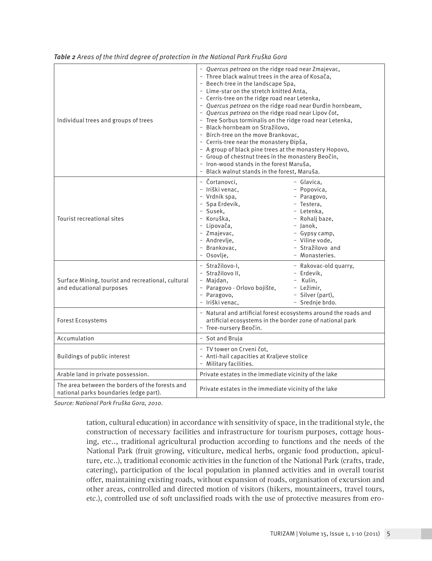| Individual trees and groups of trees                                                      | - Quercus petraea on the ridge road near Zmajevac,<br>- Three black walnut trees in the area of Kosača,<br>- Beech-tree in the landscape Spa.<br>- Lime-star on the stretch knitted Anta,<br>- Cerris-tree on the ridge road near Letenka,<br>- Quercus petraea on the ridge road near Đurđin hornbeam,<br>- Quercus petraea on the ridge road near Lipov čot,<br>- Tree Sorbus torminalis on the ridge road near Letenka,<br>- Black-hornbeam on Stražilovo,<br>- Birch-tree on the move Brankovac,<br>- Cerris-tree near the monastery Đipša,<br>- A group of black pine trees at the monastery Hopovo,<br>- Group of chestnut trees in the monastery Beočin,<br>- Iron-wood stands in the forest Maruša,<br>- Black walnut stands in the forest, Maruša. |                                                                                                                                                                             |
|-------------------------------------------------------------------------------------------|-------------------------------------------------------------------------------------------------------------------------------------------------------------------------------------------------------------------------------------------------------------------------------------------------------------------------------------------------------------------------------------------------------------------------------------------------------------------------------------------------------------------------------------------------------------------------------------------------------------------------------------------------------------------------------------------------------------------------------------------------------------|-----------------------------------------------------------------------------------------------------------------------------------------------------------------------------|
| Tourist recreational sites                                                                | - Čortanovci.<br>- Iriški venac.<br>- Vrdnik spa,<br>- Spa Erdevik,<br>- Susek.<br>- Koruška.<br>- Lipovača,<br>- Zmajevac,<br>- Andrevlie.<br>- Brankovac,<br>- Osovlje,                                                                                                                                                                                                                                                                                                                                                                                                                                                                                                                                                                                   | - Glavica.<br>- Popovica,<br>- Paragovo,<br>- Testera.<br>- Letenka,<br>- Rohalj baze,<br>- Janok,<br>- Gypsy camp,<br>- Viline vode.<br>- Stražilovo and<br>- Monasteries. |
| Surface Mining, tourist and recreational, cultural<br>and educational purposes            | - Stražilovo-I.<br>- Stražilovo II.<br>- Majdan,<br>- Paragovo - Orlovo bojište,<br>- Paragovo,<br>- Iriški venac.                                                                                                                                                                                                                                                                                                                                                                                                                                                                                                                                                                                                                                          | - Rakovac-old quarry,<br>- Erdevik,<br>- Kulin.<br>- Ležimir,<br>- Silver (part),<br>- Srednje brdo.                                                                        |
| <b>Forest Ecosystems</b>                                                                  | - Natural and artificial forest ecosystems around the roads and<br>artificial ecosystems in the border zone of national park<br>- Tree-nursery Beočin.                                                                                                                                                                                                                                                                                                                                                                                                                                                                                                                                                                                                      |                                                                                                                                                                             |
| Accumulation                                                                              | - Sot and Bruja                                                                                                                                                                                                                                                                                                                                                                                                                                                                                                                                                                                                                                                                                                                                             |                                                                                                                                                                             |
| Buildings of public interest                                                              | - TV tower on Crveni čot.<br>- Anti-hail capacities at Kraljeve stolice<br>- Military facilities.                                                                                                                                                                                                                                                                                                                                                                                                                                                                                                                                                                                                                                                           |                                                                                                                                                                             |
| Arable land in private possession.                                                        | Private estates in the immediate vicinity of the lake                                                                                                                                                                                                                                                                                                                                                                                                                                                                                                                                                                                                                                                                                                       |                                                                                                                                                                             |
| The area between the borders of the forests and<br>national parks boundaries (edge part). | Private estates in the immediate vicinity of the lake                                                                                                                                                                                                                                                                                                                                                                                                                                                                                                                                                                                                                                                                                                       |                                                                                                                                                                             |

*Table 2 Areas of the third degree of protection in the National Park Fruška Gora*

*Source: National Park Fruška Gora, 2010.*

tation, cultural education) in accordance with sensitivity of space, in the traditional style, the construction of necessary facilities and infrastructure for tourism purposes, cottage housing, etc.., traditional agricultural production according to functions and the needs of the National Park (fruit growing, viticulture, medical herbs, organic food production, apiculture, etc..), traditional economic activities in the function of the National Park (crafts, trade, catering), participation of the local population in planned activities and in overall tourist offer, maintaining existing roads, without expansion of roads, organisation of excursion and other areas, controlled and directed motion of visitors (hikers, mountaineers, travel tours, etc.), controlled use of soft unclassified roads with the use of protective measures from ero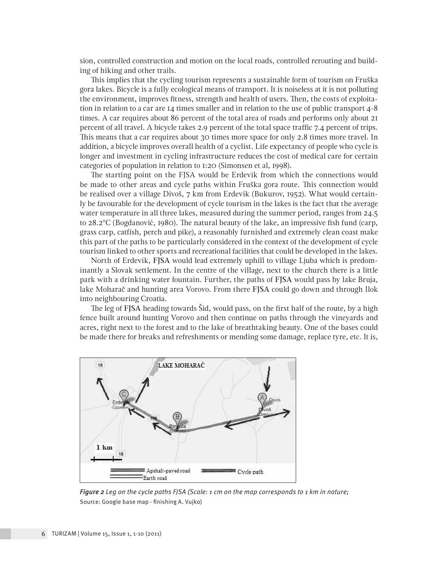sion, controlled construction and motion on the local roads, controlled rerouting and building of hiking and other trails.

This implies that the cycling tourism represents a sustainable form of tourism on Fruška gora lakes. Bicycle is a fully ecological means of transport. It is noiseless at it is not polluting the environment, improves fitness, strength and health of users. Then, the costs of exploitation in relation to a car are 14 times smaller and in relation to the use of public transport 4-8 times. A car requires about 86 percent of the total area of roads and performs only about 21 percent of all travel. A bicycle takes 2.9 percent of the total space traffic 7.4 percent of trips. This means that a car requires about 30 times more space for only 2.8 times more travel. In addition, a bicycle improves overall health of a cyclist. Life expectancy of people who cycle is longer and investment in cycling infrastructure reduces the cost of medical care for certain categories of population in relation to 1:20 (Simonsen et al, 1998).

The starting point on the FJSA would be Erdevik from which the connections would be made to other areas and cycle paths within Fruška gora route. This connection would be realised over a village Divoš, 7 km from Erdevik (Bukurov, 1952). What would certainly be favourable for the development of cycle tourism in the lakes is the fact that the average water temperature in all three lakes, measured during the summer period, ranges from 24.5 to 28.2ºC (Bogdanović, 1980). The natural beauty of the lake, an impressive fish fund (carp, grass carp, catfish, perch and pike), a reasonably furnished and extremely clean coast make this part of the paths to be particularly considered in the context of the development of cycle tourism linked to other sports and recreational facilities that could be developed in the lakes.

North of Erdevik, FJSA would lead extremely uphill to village Ljuba which is predominantly a Slovak settlement. In the centre of the village, next to the church there is a little park with a drinking water fountain. Further, the paths of FJSA would pass by lake Bruja, lake Moharač and hunting area Vorovo. From there FJSA could go down and through Ilok into neighbouring Croatia.

The leg of FJSA heading towards Šid, would pass, on the first half of the route, by a high fence built around hunting Vorovo and then continue on paths through the vineyards and acres, right next to the forest and to the lake of breathtaking beauty. One of the bases could be made there for breaks and refreshments or mending some damage, replace tyre, etc. It is,

![](_page_5_Figure_5.jpeg)

*Figure 2 Leg on the cycle paths FJSA (Scale: 1 cm on the map corresponds to 1 km in nature;* Source: Google base map - finishing A. Vujko)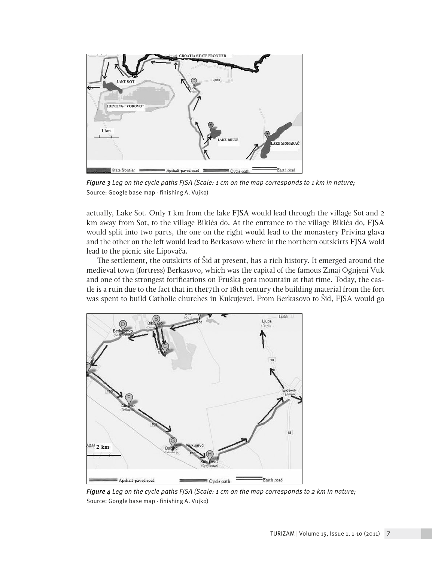![](_page_6_Figure_0.jpeg)

*Figure 3 Leg on the cycle paths FJSA (Scale: 1 cm on the map corresponds to 1 km in nature;*  Source: Google base map - finishing A. Vujko)

actually, Lake Sot. Only 1 km from the lake FJSA would lead through the village Sot and 2 km away from Sot, to the village Bikića do. At the entrance to the village Bikića do, FJSA would split into two parts, the one on the right would lead to the monastery Privina glava and the other on the left would lead to Berkasovo where in the northern outskirts FJSA wold lead to the picnic site Lipovača.

The settlement, the outskirts of Šid at present, has a rich history. It emerged around the medieval town (fortress) Berkasovo, which was the capital of the famous Zmaj Ognjeni Vuk and one of the strongest forifications on Fruška gora mountain at that time. Today, the castle is a ruin due to the fact that in the17th or 18th century the building material from the fort was spent to build Catholic churches in Kukujevci. From Berkasovo to Šid, FJSA would go

![](_page_6_Figure_4.jpeg)

*Figure 4 Leg on the cycle paths FJSA (Scale: 1 cm on the map corresponds to 2 km in nature;*  Source: Google base map - finishing A. Vujko)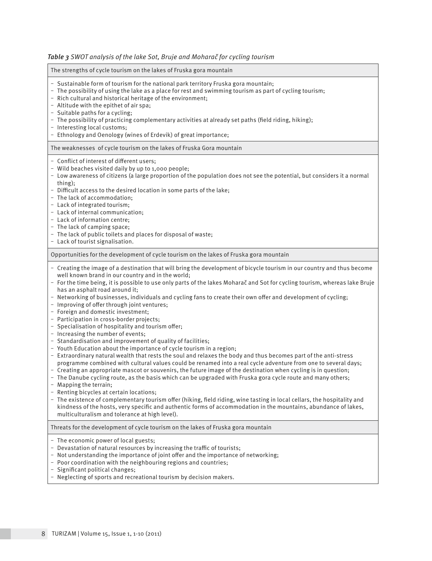| The strengths of cycle tourism on the lakes of Fruska gora mountain                                                                                                                                                                                                                                                                                                                                                                                                                                                                                                                                                                                                                                                                                                                                                                                                                                                                                                                                                                                                                                                                                                                                                                                                                                                                                                                                                                                                                                                                                                                                                                                                                   |
|---------------------------------------------------------------------------------------------------------------------------------------------------------------------------------------------------------------------------------------------------------------------------------------------------------------------------------------------------------------------------------------------------------------------------------------------------------------------------------------------------------------------------------------------------------------------------------------------------------------------------------------------------------------------------------------------------------------------------------------------------------------------------------------------------------------------------------------------------------------------------------------------------------------------------------------------------------------------------------------------------------------------------------------------------------------------------------------------------------------------------------------------------------------------------------------------------------------------------------------------------------------------------------------------------------------------------------------------------------------------------------------------------------------------------------------------------------------------------------------------------------------------------------------------------------------------------------------------------------------------------------------------------------------------------------------|
| - Sustainable form of tourism for the national park territory Fruska gora mountain;<br>- The possibility of using the lake as a place for rest and swimming tourism as part of cycling tourism;<br>- Rich cultural and historical heritage of the environment;<br>- Altitude with the epithet of air spa;<br>- Suitable paths for a cycling;<br>- The possibility of practicing complementary activities at already set paths (field riding, hiking);<br>- Interesting local customs;<br>- Ethnology and Oenology (wines of Erdevik) of great importance;                                                                                                                                                                                                                                                                                                                                                                                                                                                                                                                                                                                                                                                                                                                                                                                                                                                                                                                                                                                                                                                                                                                             |
| The weaknesses of cycle tourism on the lakes of Fruska Gora mountain                                                                                                                                                                                                                                                                                                                                                                                                                                                                                                                                                                                                                                                                                                                                                                                                                                                                                                                                                                                                                                                                                                                                                                                                                                                                                                                                                                                                                                                                                                                                                                                                                  |
| - Conflict of interest of different users;<br>- Wild beaches visited daily by up to 1,000 people;<br>- Low awareness of citizens (a large proportion of the population does not see the potential, but considers it a normal<br>thing);<br>- Difficult access to the desired location in some parts of the lake;<br>- The lack of accommodation;<br>- Lack of integrated tourism;<br>- Lack of internal communication;<br>- Lack of information centre;<br>- The lack of camping space;<br>- The lack of public toilets and places for disposal of waste;<br>- Lack of tourist signalisation.                                                                                                                                                                                                                                                                                                                                                                                                                                                                                                                                                                                                                                                                                                                                                                                                                                                                                                                                                                                                                                                                                         |
| Opportunities for the development of cycle tourism on the lakes of Fruska gora mountain                                                                                                                                                                                                                                                                                                                                                                                                                                                                                                                                                                                                                                                                                                                                                                                                                                                                                                                                                                                                                                                                                                                                                                                                                                                                                                                                                                                                                                                                                                                                                                                               |
| - Creating the image of a destination that will bring the development of bicycle tourism in our country and thus become<br>well known brand in our country and in the world;<br>- For the time being, it is possible to use only parts of the lakes Moharač and Sot for cycling tourism, whereas lake Bruje<br>has an asphalt road around it;<br>- Networking of businesses, individuals and cycling fans to create their own offer and development of cycling;<br>- Improving of offer through joint ventures;<br>- Foreign and domestic investment;<br>- Participation in cross-border projects;<br>- Specialisation of hospitality and tourism offer;<br>- Increasing the number of events;<br>- Standardisation and improvement of quality of facilities;<br>- Youth Education about the importance of cycle tourism in a region;<br>- Extraordinary natural wealth that rests the soul and relaxes the body and thus becomes part of the anti-stress<br>programme combined with cultural values could be renamed into a real cycle adventure from one to several days;<br>- Creating an appropriate mascot or souvenirs, the future image of the destination when cycling is in question;<br>- The Danube cycling route, as the basis which can be upgraded with Fruska gora cycle route and many others;<br>- Mapping the terrain;<br>- Renting bicycles at certain locations;<br>- The existence of complementary tourism offer (hiking, field riding, wine tasting in local cellars, the hospitality and<br>kindness of the hosts, very specific and authentic forms of accommodation in the mountains, abundance of lakes,<br>multiculturalism and tolerance at high level). |
| Threats for the development of cycle tourism on the lakes of Fruska gora mountain                                                                                                                                                                                                                                                                                                                                                                                                                                                                                                                                                                                                                                                                                                                                                                                                                                                                                                                                                                                                                                                                                                                                                                                                                                                                                                                                                                                                                                                                                                                                                                                                     |
| - The economic power of local guests;<br>- Devastation of natural resources by increasing the traffic of tourists;<br>- Not understanding the importance of joint offer and the importance of networking;<br>- Poor coordination with the neighbouring regions and countries;<br>- Significant political changes;                                                                                                                                                                                                                                                                                                                                                                                                                                                                                                                                                                                                                                                                                                                                                                                                                                                                                                                                                                                                                                                                                                                                                                                                                                                                                                                                                                     |

# *Table 3 SWOT analysis of the lake Sot, Bruje and Moharač for cycling tourism*

‒ Neglecting of sports and recreational tourism by decision makers.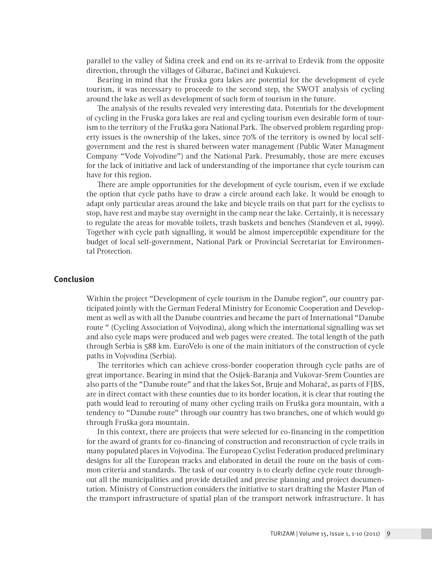parallel to the valley of Šidina creek and end on its re-arrival to Erdevik from the opposite direction, through the villages of Gibarac, Bačinci and Kukujevci.

Bearing in mind that the Fruska gora lakes are potential for the development of cycle tourism, it was necessary to proceede to the second step, the SWOT analysis of cycling around the lake as well as development of such form of tourism in the future.

The analysis of the results revealed very interesting data. Potentials for the development of cycling in the Fruska gora lakes are real and cycling tourism even desirable form of tourism to the territory of the Fruška gora National Park. The observed problem regarding property issues is the ownership of the lakes, since 70% of the territory is owned by local selfgovernment and the rest is shared between water management (Public Water Managment Company "Vode Vojvodine") and the National Park. Presumably, those are mere excuses for the lack of initiative and lack of understanding of the importance that cycle tourism can have for this region.

There are ample opportunities for the development of cycle tourism, even if we exclude the option that cycle paths have to draw a circle around each lake. It would be enough to adapt only particular areas around the lake and bicycle trails on that part for the cyclists to stop, have rest and maybe stay overnight in the camp near the lake. Certainly, it is necessary to regulate the areas for movable toilets, trash baskets and benches (Standeven et al, 1999). Together with cycle path signalling, it would be almost imperceptible expenditure for the budget of local self-government, National Park or Provincial Secretariat for Environmental Protection.

### **Conclusion**

Within the project "Development of cycle tourism in the Danube region", our country participated jointly with the German Federal Ministry for Economic Cooperation and Development as well as with all the Danube countries and became the part of International "Danube route " (Cycling Association of Vojvodina), along which the international signalling was set and also cycle maps were produced and web pages were created. The total length of the path through Serbia is 588 km. EuroVelo is one of the main initiators of the construction of cycle paths in Vojvodina (Serbia).

The territories which can achieve cross-border cooperation through cycle paths are of great importance. Bearing in mind that the Osijek-Baranja and Vukovar-Srem Counties are also parts of the "Danube route" and that the lakes Sot, Bruje and Moharač, as parts of FJBS, are in direct contact with these counties due to its border location, it is clear that routing the path would lead to rerouting of many other cycling trails on Fruška gora mountain, with a tendency to "Danube route" through our country has two branches, one of which would go through Fruška gora mountain.

In this context, there are projects that were selected for co-financing in the competition for the award of grants for co-financing of construction and reconstruction of cycle trails in many populated places in Vojvodina. The European Cyclist Federation produced preliminary designs for all the European tracks and elaborated in detail the route on the basis of common criteria and standards. The task of our country is to clearly define cycle route throughout all the municipalities and provide detailed and precise planning and project documentation. Ministry of Construction considers the initiative to start drafting the Master Plan of the transport infrastructure of spatial plan of the transport network infrastructure. It has